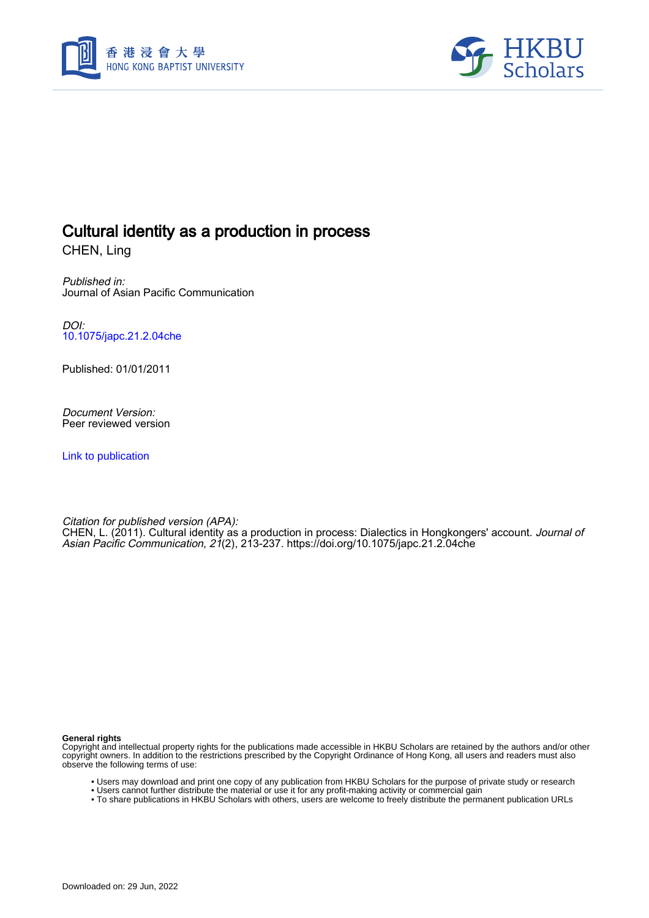



# Cultural identity as a production in process

CHEN, Ling

Published in: Journal of Asian Pacific Communication

DOI: [10.1075/japc.21.2.04che](https://doi.org/10.1075/japc.21.2.04che)

Published: 01/01/2011

Document Version: Peer reviewed version

[Link to publication](https://scholars.hkbu.edu.hk/en/publications/8dd2579d-7078-4964-add4-57e9da754e60)

Citation for published version (APA): CHEN, L. (2011). Cultural identity as a production in process: Dialectics in Hongkongers' account. *Journal of* Asian Pacific Communication, 21(2), 213-237.<https://doi.org/10.1075/japc.21.2.04che>

**General rights**

Copyright and intellectual property rights for the publications made accessible in HKBU Scholars are retained by the authors and/or other copyright owners. In addition to the restrictions prescribed by the Copyright Ordinance of Hong Kong, all users and readers must also observe the following terms of use:

- Users may download and print one copy of any publication from HKBU Scholars for the purpose of private study or research
- Users cannot further distribute the material or use it for any profit-making activity or commercial gain
- To share publications in HKBU Scholars with others, users are welcome to freely distribute the permanent publication URLs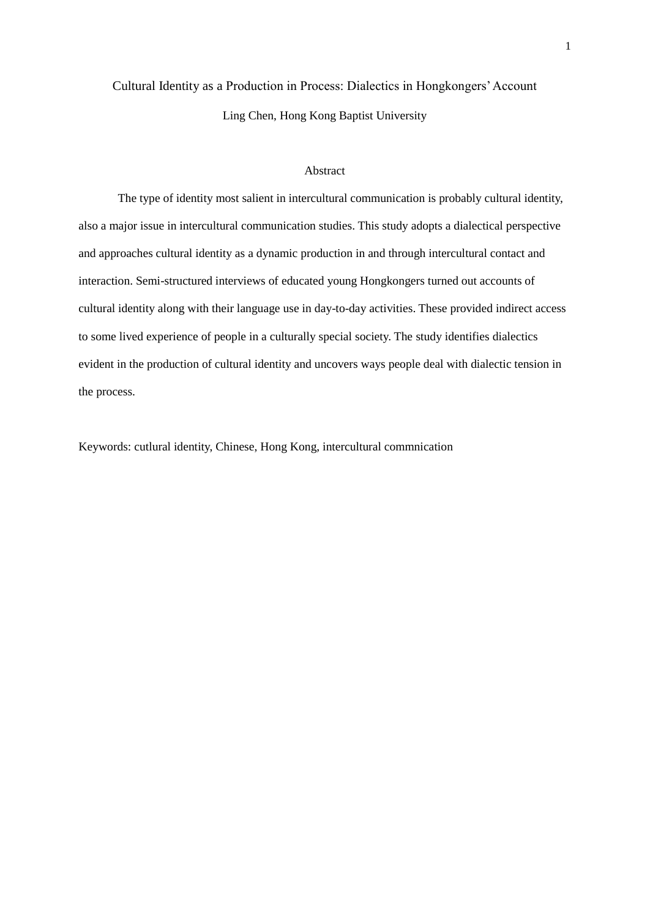# Cultural Identity as a Production in Process: Dialectics in Hongkongers' Account Ling Chen, Hong Kong Baptist University

#### Abstract

The type of identity most salient in intercultural communication is probably cultural identity, also a major issue in intercultural communication studies. This study adopts a dialectical perspective and approaches cultural identity as a dynamic production in and through intercultural contact and interaction. Semi-structured interviews of educated young Hongkongers turned out accounts of cultural identity along with their language use in day-to-day activities. These provided indirect access to some lived experience of people in a culturally special society. The study identifies dialectics evident in the production of cultural identity and uncovers ways people deal with dialectic tension in the process.

Keywords: cutlural identity, Chinese, Hong Kong, intercultural commnication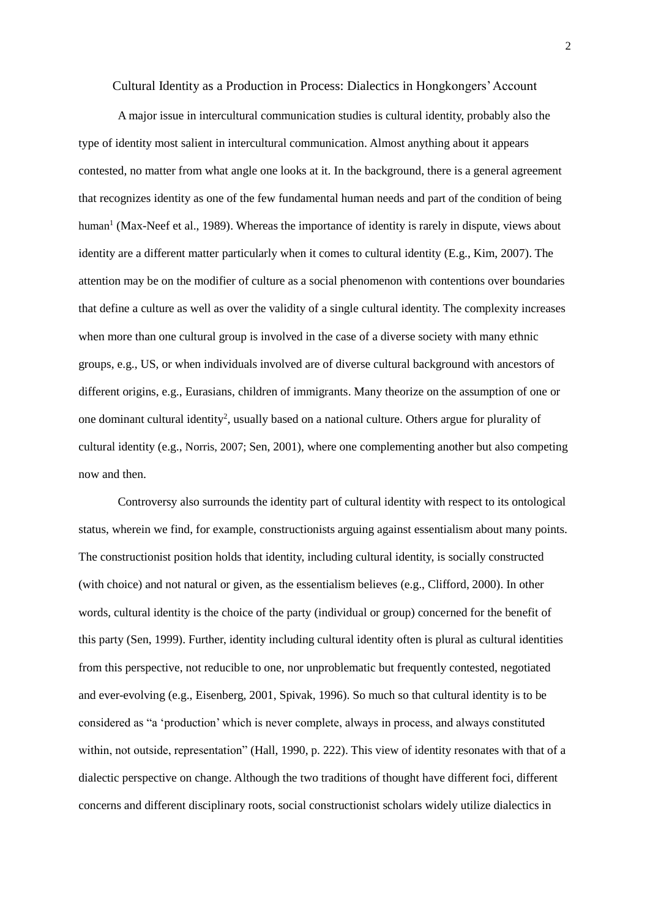Cultural Identity as a Production in Process: Dialectics in Hongkongers' Account

A major issue in intercultural communication studies is cultural identity, probably also the type of identity most salient in intercultural communication. Almost anything about it appears contested, no matter from what angle one looks at it. In the background, there is a general agreement that recognizes identity as one of the few fundamental human needs and part of the condition of being human<sup>1</sup> (Max-Neef et al., 1989). Whereas the importance of identity is rarely in dispute, views about identity are a different matter particularly when it comes to cultural identity (E.g., Kim, 2007). The attention may be on the modifier of culture as a social phenomenon with contentions over boundaries that define a culture as well as over the validity of a single cultural identity. The complexity increases when more than one cultural group is involved in the case of a diverse society with many ethnic groups, e.g., US, or when individuals involved are of diverse cultural background with ancestors of different origins, e.g., Eurasians, children of immigrants. Many theorize on the assumption of one or one dominant cultural identity<sup>2</sup>, usually based on a national culture. Others argue for plurality of cultural identity (e.g., Norris, 2007; Sen, 2001), where one complementing another but also competing now and then.

Controversy also surrounds the identity part of cultural identity with respect to its ontological status, wherein we find, for example, constructionists arguing against essentialism about many points. The constructionist position holds that identity, including cultural identity, is socially constructed (with choice) and not natural or given, as the essentialism believes (e.g., Clifford, 2000). In other words, cultural identity is the choice of the party (individual or group) concerned for the benefit of this party (Sen, 1999). Further, identity including cultural identity often is plural as cultural identities from this perspective, not reducible to one, nor unproblematic but frequently contested, negotiated and ever-evolving (e.g., Eisenberg, 2001, Spivak, 1996). So much so that cultural identity is to be considered as "a 'production' which is never complete, always in process, and always constituted within, not outside, representation" (Hall, 1990, p. 222). This view of identity resonates with that of a dialectic perspective on change. Although the two traditions of thought have different foci, different concerns and different disciplinary roots, social constructionist scholars widely utilize dialectics in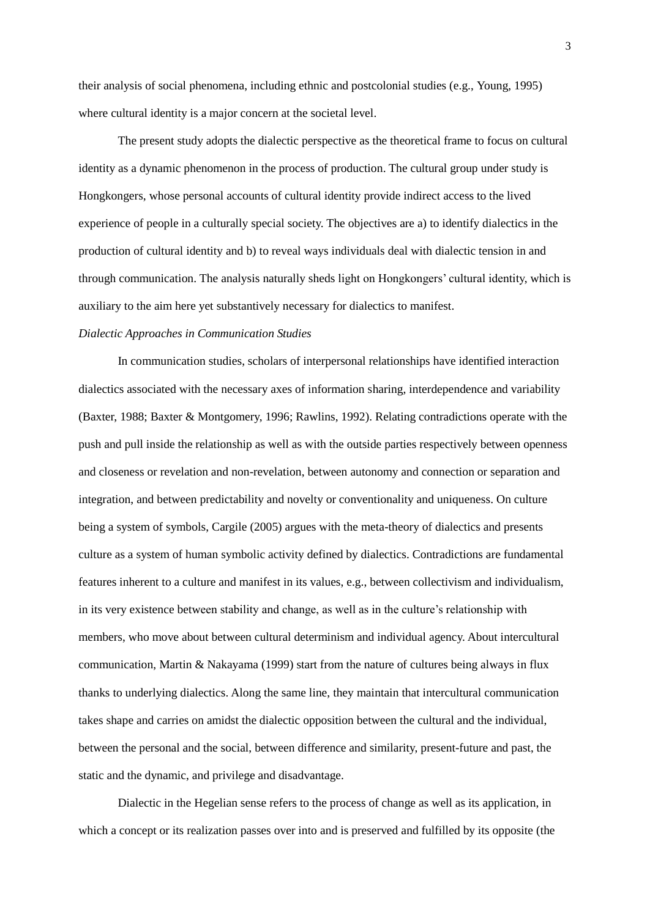their analysis of social phenomena, including ethnic and postcolonial studies (e.g., Young, 1995) where cultural identity is a major concern at the societal level.

The present study adopts the dialectic perspective as the theoretical frame to focus on cultural identity as a dynamic phenomenon in the process of production. The cultural group under study is Hongkongers, whose personal accounts of cultural identity provide indirect access to the lived experience of people in a culturally special society. The objectives are a) to identify dialectics in the production of cultural identity and b) to reveal ways individuals deal with dialectic tension in and through communication. The analysis naturally sheds light on Hongkongers' cultural identity, which is auxiliary to the aim here yet substantively necessary for dialectics to manifest.

#### *Dialectic Approaches in Communication Studies*

In communication studies, scholars of interpersonal relationships have identified interaction dialectics associated with the necessary axes of information sharing, interdependence and variability (Baxter, 1988; Baxter & Montgomery, 1996; Rawlins, 1992). Relating contradictions operate with the push and pull inside the relationship as well as with the outside parties respectively between openness and closeness or revelation and non-revelation, between autonomy and connection or separation and integration, and between predictability and novelty or conventionality and uniqueness. On culture being a system of symbols, Cargile (2005) argues with the meta-theory of dialectics and presents culture as a system of human symbolic activity defined by dialectics. Contradictions are fundamental features inherent to a culture and manifest in its values, e.g., between collectivism and individualism, in its very existence between stability and change, as well as in the culture's relationship with members, who move about between cultural determinism and individual agency. About intercultural communication, Martin & Nakayama (1999) start from the nature of cultures being always in flux thanks to underlying dialectics. Along the same line, they maintain that intercultural communication takes shape and carries on amidst the dialectic opposition between the cultural and the individual, between the personal and the social, between difference and similarity, present-future and past, the static and the dynamic, and privilege and disadvantage.

Dialectic in the Hegelian sense refers to the process of change as well as its application, in which a concept or its realization passes over into and is preserved and fulfilled by its opposite (the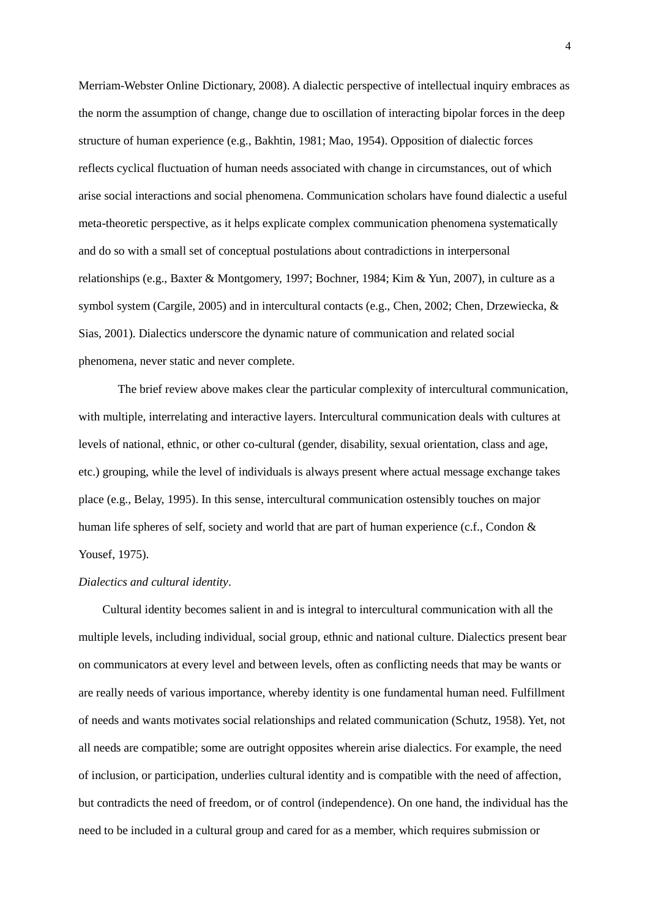Merriam-Webster Online Dictionary, 2008). A dialectic perspective of intellectual inquiry embraces as the norm the assumption of change, change due to oscillation of interacting bipolar forces in the deep structure of human experience (e.g., Bakhtin, 1981; Mao, 1954). Opposition of dialectic forces reflects cyclical fluctuation of human needs associated with change in circumstances, out of which arise social interactions and social phenomena. Communication scholars have found dialectic a useful meta-theoretic perspective, as it helps explicate complex communication phenomena systematically and do so with a small set of conceptual postulations about contradictions in interpersonal relationships (e.g., Baxter & Montgomery, 1997; Bochner, 1984; Kim & Yun, 2007), in culture as a symbol system (Cargile, 2005) and in intercultural contacts (e.g., Chen, 2002; Chen, Drzewiecka, & Sias, 2001). Dialectics underscore the dynamic nature of communication and related social phenomena, never static and never complete.

The brief review above makes clear the particular complexity of intercultural communication, with multiple, interrelating and interactive layers. Intercultural communication deals with cultures at levels of national, ethnic, or other co-cultural (gender, disability, sexual orientation, class and age, etc.) grouping, while the level of individuals is always present where actual message exchange takes place (e.g., Belay, 1995). In this sense, intercultural communication ostensibly touches on major human life spheres of self, society and world that are part of human experience (c.f., Condon & Yousef, 1975).

#### *Dialectics and cultural identity*.

Cultural identity becomes salient in and is integral to intercultural communication with all the multiple levels, including individual, social group, ethnic and national culture. Dialectics present bear on communicators at every level and between levels, often as conflicting needs that may be wants or are really needs of various importance, whereby identity is one fundamental human need. Fulfillment of needs and wants motivates social relationships and related communication (Schutz, 1958). Yet, not all needs are compatible; some are outright opposites wherein arise dialectics. For example, the need of inclusion, or participation, underlies cultural identity and is compatible with the need of affection, but contradicts the need of freedom, or of control (independence). On one hand, the individual has the need to be included in a cultural group and cared for as a member, which requires submission or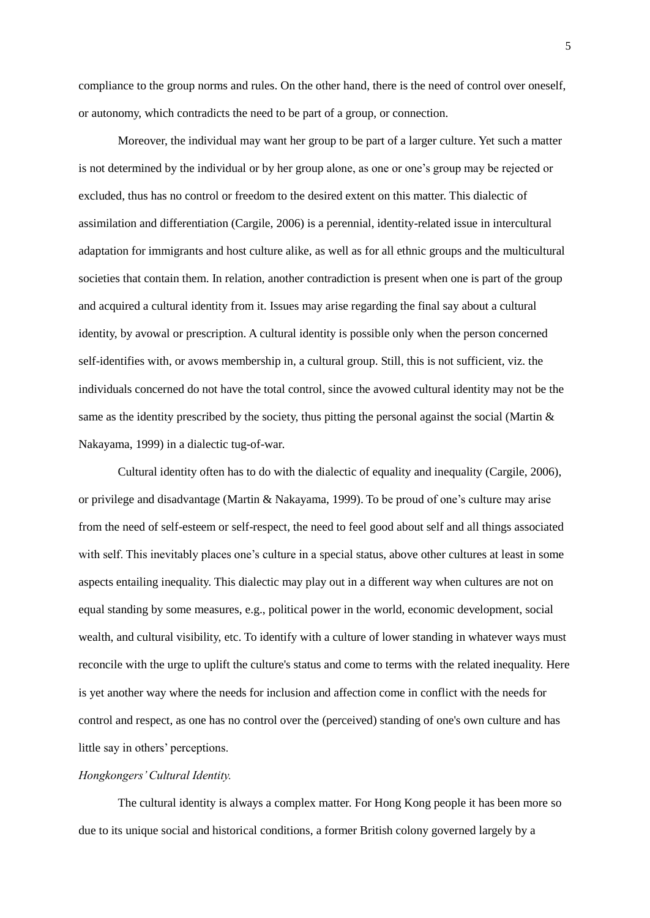compliance to the group norms and rules. On the other hand, there is the need of control over oneself, or autonomy, which contradicts the need to be part of a group, or connection.

Moreover, the individual may want her group to be part of a larger culture. Yet such a matter is not determined by the individual or by her group alone, as one or one's group may be rejected or excluded, thus has no control or freedom to the desired extent on this matter. This dialectic of assimilation and differentiation (Cargile, 2006) is a perennial, identity-related issue in intercultural adaptation for immigrants and host culture alike, as well as for all ethnic groups and the multicultural societies that contain them. In relation, another contradiction is present when one is part of the group and acquired a cultural identity from it. Issues may arise regarding the final say about a cultural identity, by avowal or prescription. A cultural identity is possible only when the person concerned self-identifies with, or avows membership in, a cultural group. Still, this is not sufficient, viz. the individuals concerned do not have the total control, since the avowed cultural identity may not be the same as the identity prescribed by the society, thus pitting the personal against the social (Martin  $\&$ Nakayama, 1999) in a dialectic tug-of-war.

Cultural identity often has to do with the dialectic of equality and inequality (Cargile, 2006), or privilege and disadvantage (Martin & Nakayama, 1999). To be proud of one's culture may arise from the need of self-esteem or self-respect, the need to feel good about self and all things associated with self. This inevitably places one's culture in a special status, above other cultures at least in some aspects entailing inequality. This dialectic may play out in a different way when cultures are not on equal standing by some measures, e.g., political power in the world, economic development, social wealth, and cultural visibility, etc. To identify with a culture of lower standing in whatever ways must reconcile with the urge to uplift the culture's status and come to terms with the related inequality. Here is yet another way where the needs for inclusion and affection come in conflict with the needs for control and respect, as one has no control over the (perceived) standing of one's own culture and has little say in others' perceptions.

# *Hongkongers' Cultural Identity.*

The cultural identity is always a complex matter. For Hong Kong people it has been more so due to its unique social and historical conditions, a former British colony governed largely by a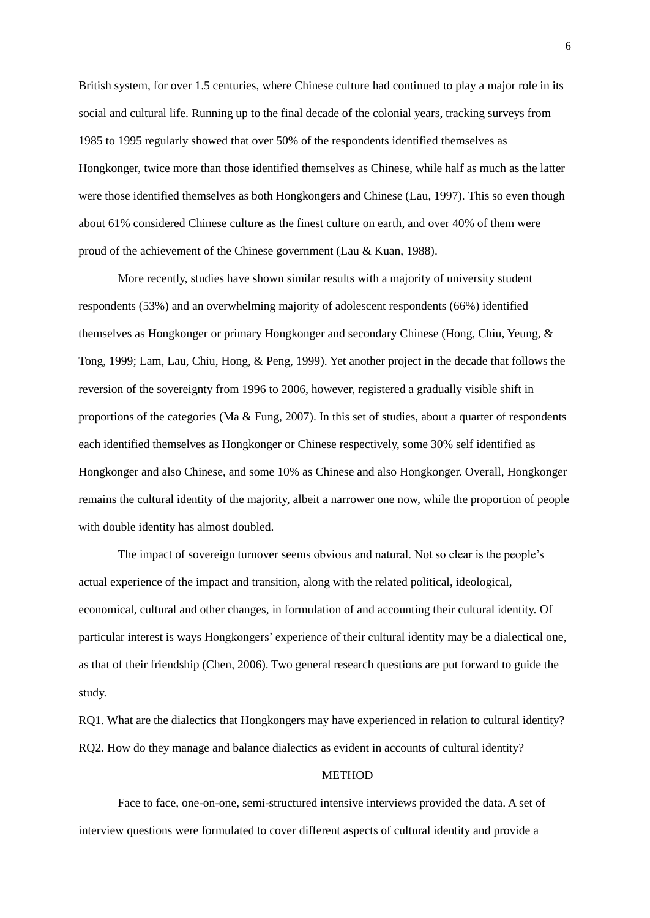British system, for over 1.5 centuries, where Chinese culture had continued to play a major role in its social and cultural life. Running up to the final decade of the colonial years, tracking surveys from 1985 to 1995 regularly showed that over 50% of the respondents identified themselves as Hongkonger, twice more than those identified themselves as Chinese, while half as much as the latter were those identified themselves as both Hongkongers and Chinese (Lau, 1997). This so even though about 61% considered Chinese culture as the finest culture on earth, and over 40% of them were proud of the achievement of the Chinese government (Lau & Kuan, 1988).

More recently, studies have shown similar results with a majority of university student respondents (53%) and an overwhelming majority of adolescent respondents (66%) identified themselves as Hongkonger or primary Hongkonger and secondary Chinese (Hong, Chiu, Yeung, & Tong, 1999; Lam, Lau, Chiu, Hong, & Peng, 1999). Yet another project in the decade that follows the reversion of the sovereignty from 1996 to 2006, however, registered a gradually visible shift in proportions of the categories (Ma & Fung, 2007). In this set of studies, about a quarter of respondents each identified themselves as Hongkonger or Chinese respectively, some 30% self identified as Hongkonger and also Chinese, and some 10% as Chinese and also Hongkonger. Overall, Hongkonger remains the cultural identity of the majority, albeit a narrower one now, while the proportion of people with double identity has almost doubled.

The impact of sovereign turnover seems obvious and natural. Not so clear is the people's actual experience of the impact and transition, along with the related political, ideological, economical, cultural and other changes, in formulation of and accounting their cultural identity. Of particular interest is ways Hongkongers' experience of their cultural identity may be a dialectical one, as that of their friendship (Chen, 2006). Two general research questions are put forward to guide the study.

RQ1. What are the dialectics that Hongkongers may have experienced in relation to cultural identity? RQ2. How do they manage and balance dialectics as evident in accounts of cultural identity?

#### **METHOD**

Face to face, one-on-one, semi-structured intensive interviews provided the data. A set of interview questions were formulated to cover different aspects of cultural identity and provide a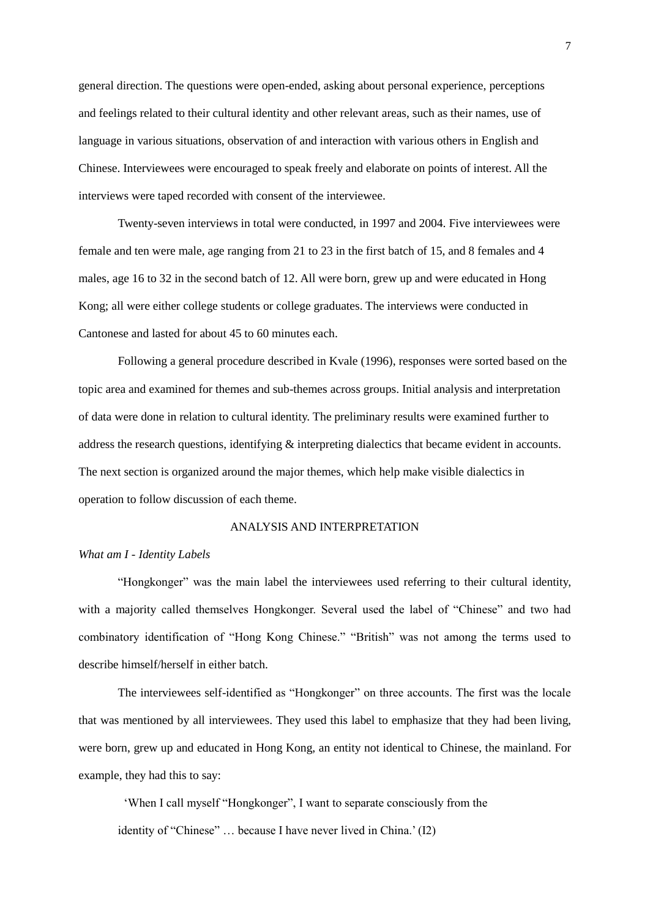general direction. The questions were open-ended, asking about personal experience, perceptions and feelings related to their cultural identity and other relevant areas, such as their names, use of language in various situations, observation of and interaction with various others in English and Chinese. Interviewees were encouraged to speak freely and elaborate on points of interest. All the interviews were taped recorded with consent of the interviewee.

Twenty-seven interviews in total were conducted, in 1997 and 2004. Five interviewees were female and ten were male, age ranging from 21 to 23 in the first batch of 15, and 8 females and 4 males, age 16 to 32 in the second batch of 12. All were born, grew up and were educated in Hong Kong; all were either college students or college graduates. The interviews were conducted in Cantonese and lasted for about 45 to 60 minutes each.

Following a general procedure described in Kvale (1996), responses were sorted based on the topic area and examined for themes and sub-themes across groups. Initial analysis and interpretation of data were done in relation to cultural identity. The preliminary results were examined further to address the research questions, identifying & interpreting dialectics that became evident in accounts. The next section is organized around the major themes, which help make visible dialectics in operation to follow discussion of each theme.

#### ANALYSIS AND INTERPRETATION

# *What am I - Identity Labels*

"Hongkonger" was the main label the interviewees used referring to their cultural identity, with a majority called themselves Hongkonger. Several used the label of "Chinese" and two had combinatory identification of "Hong Kong Chinese." "British" was not among the terms used to describe himself/herself in either batch.

The interviewees self-identified as "Hongkonger" on three accounts. The first was the locale that was mentioned by all interviewees. They used this label to emphasize that they had been living, were born, grew up and educated in Hong Kong, an entity not identical to Chinese, the mainland. For example, they had this to say:

'When I call myself "Hongkonger", I want to separate consciously from the identity of "Chinese" … because I have never lived in China.' (I2)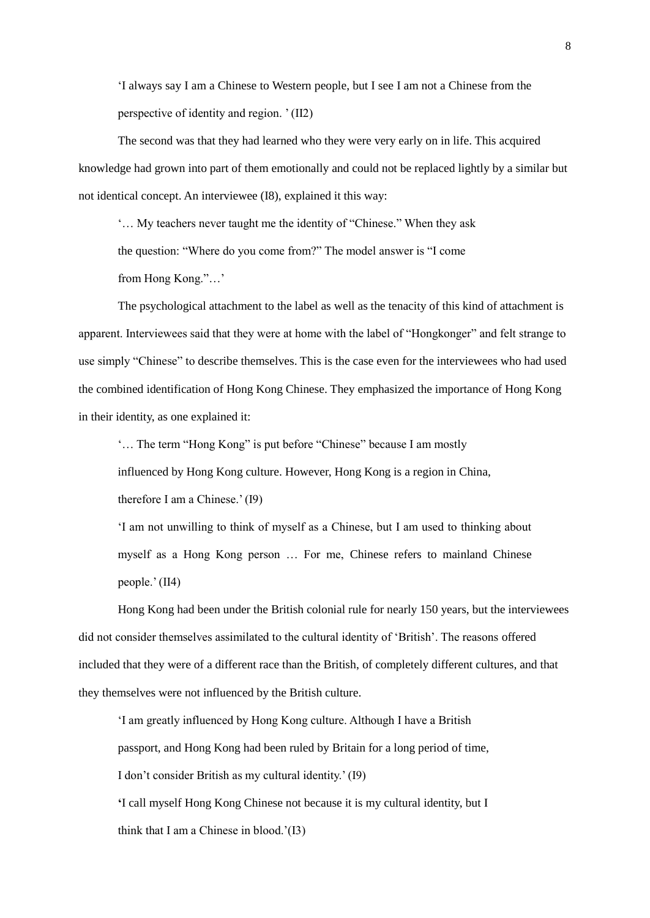'I always say I am a Chinese to Western people, but I see I am not a Chinese from the perspective of identity and region. ' (II2)

The second was that they had learned who they were very early on in life. This acquired knowledge had grown into part of them emotionally and could not be replaced lightly by a similar but not identical concept. An interviewee (I8), explained it this way:

'… My teachers never taught me the identity of "Chinese." When they ask

the question: "Where do you come from?" The model answer is "I come

from Hong Kong."…'

The psychological attachment to the label as well as the tenacity of this kind of attachment is apparent. Interviewees said that they were at home with the label of "Hongkonger" and felt strange to use simply "Chinese" to describe themselves. This is the case even for the interviewees who had used the combined identification of Hong Kong Chinese. They emphasized the importance of Hong Kong in their identity, as one explained it:

'… The term "Hong Kong" is put before "Chinese" because I am mostly

influenced by Hong Kong culture. However, Hong Kong is a region in China,

therefore I am a Chinese.' (I9)

'I am not unwilling to think of myself as a Chinese, but I am used to thinking about myself as a Hong Kong person … For me, Chinese refers to mainland Chinese people.' (II4)

Hong Kong had been under the British colonial rule for nearly 150 years, but the interviewees did not consider themselves assimilated to the cultural identity of 'British'. The reasons offered included that they were of a different race than the British, of completely different cultures, and that they themselves were not influenced by the British culture.

'I am greatly influenced by Hong Kong culture. Although I have a British passport, and Hong Kong had been ruled by Britain for a long period of time, I don't consider British as my cultural identity.' (I9)

**'**I call myself Hong Kong Chinese not because it is my cultural identity, but I

think that I am a Chinese in blood.'(I3)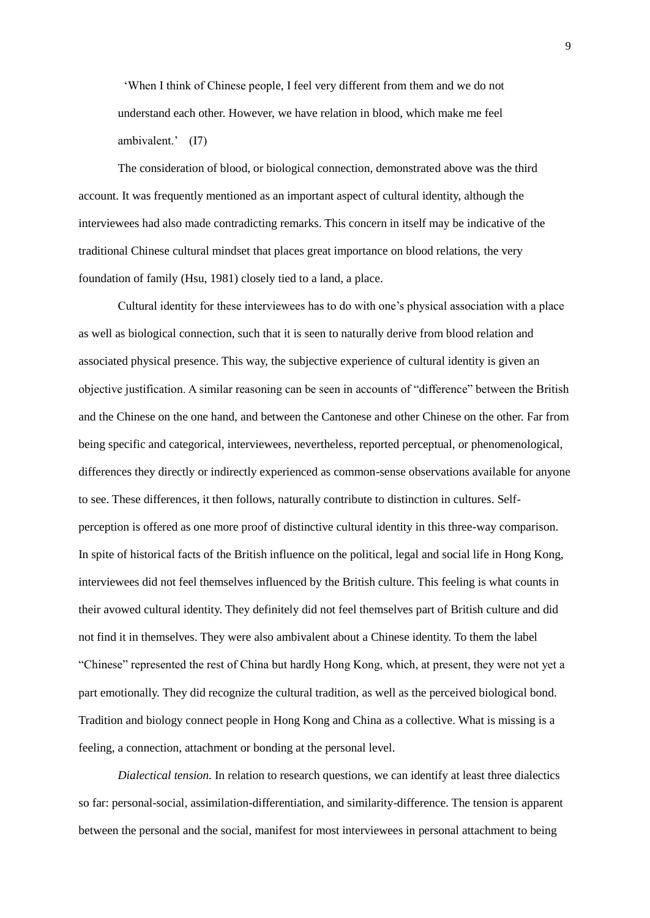'When I think of Chinese people, I feel very different from them and we do not understand each other. However, we have relation in blood, which make me feel ambivalent.' (I7)

The consideration of blood, or biological connection, demonstrated above was the third account. It was frequently mentioned as an important aspect of cultural identity, although the interviewees had also made contradicting remarks. This concern in itself may be indicative of the traditional Chinese cultural mindset that places great importance on blood relations, the very foundation of family (Hsu, 1981) closely tied to a land, a place.

Cultural identity for these interviewees has to do with one's physical association with a place as well as biological connection, such that it is seen to naturally derive from blood relation and associated physical presence. This way, the subjective experience of cultural identity is given an objective justification. A similar reasoning can be seen in accounts of "difference" between the British and the Chinese on the one hand, and between the Cantonese and other Chinese on the other. Far from being specific and categorical, interviewees, nevertheless, reported perceptual, or phenomenological, differences they directly or indirectly experienced as common-sense observations available for anyone to see. These differences, it then follows, naturally contribute to distinction in cultures. Selfperception is offered as one more proof of distinctive cultural identity in this three-way comparison. In spite of historical facts of the British influence on the political, legal and social life in Hong Kong, interviewees did not feel themselves influenced by the British culture. This feeling is what counts in their avowed cultural identity. They definitely did not feel themselves part of British culture and did not find it in themselves. They were also ambivalent about a Chinese identity. To them the label "Chinese" represented the rest of China but hardly Hong Kong, which, at present, they were not yet a part emotionally. They did recognize the cultural tradition, as well as the perceived biological bond. Tradition and biology connect people in Hong Kong and China as a collective. What is missing is a feeling, a connection, attachment or bonding at the personal level.

*Dialectical tension.* In relation to research questions, we can identify at least three dialectics so far: personal-social, assimilation-differentiation, and similarity-difference. The tension is apparent between the personal and the social, manifest for most interviewees in personal attachment to being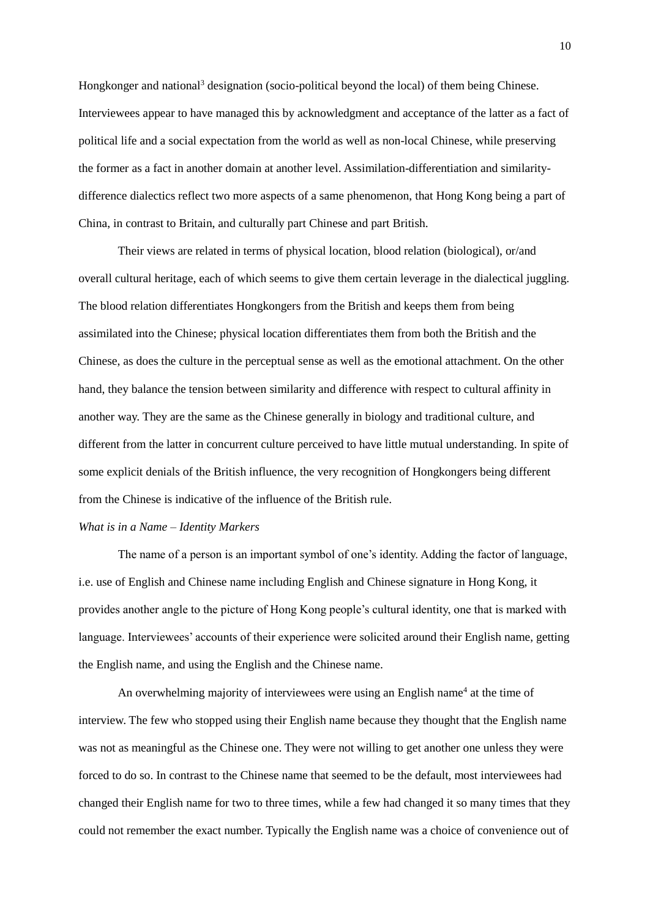Hongkonger and national<sup>3</sup> designation (socio-political beyond the local) of them being Chinese. Interviewees appear to have managed this by acknowledgment and acceptance of the latter as a fact of political life and a social expectation from the world as well as non-local Chinese, while preserving the former as a fact in another domain at another level. Assimilation-differentiation and similaritydifference dialectics reflect two more aspects of a same phenomenon, that Hong Kong being a part of China, in contrast to Britain, and culturally part Chinese and part British.

Their views are related in terms of physical location, blood relation (biological), or/and overall cultural heritage, each of which seems to give them certain leverage in the dialectical juggling. The blood relation differentiates Hongkongers from the British and keeps them from being assimilated into the Chinese; physical location differentiates them from both the British and the Chinese, as does the culture in the perceptual sense as well as the emotional attachment. On the other hand, they balance the tension between similarity and difference with respect to cultural affinity in another way. They are the same as the Chinese generally in biology and traditional culture, and different from the latter in concurrent culture perceived to have little mutual understanding. In spite of some explicit denials of the British influence, the very recognition of Hongkongers being different from the Chinese is indicative of the influence of the British rule.

#### *What is in a Name – Identity Markers*

The name of a person is an important symbol of one's identity. Adding the factor of language, i.e. use of English and Chinese name including English and Chinese signature in Hong Kong, it provides another angle to the picture of Hong Kong people's cultural identity, one that is marked with language. Interviewees' accounts of their experience were solicited around their English name, getting the English name, and using the English and the Chinese name.

An overwhelming majority of interviewees were using an English name<sup>4</sup> at the time of interview. The few who stopped using their English name because they thought that the English name was not as meaningful as the Chinese one. They were not willing to get another one unless they were forced to do so. In contrast to the Chinese name that seemed to be the default, most interviewees had changed their English name for two to three times, while a few had changed it so many times that they could not remember the exact number. Typically the English name was a choice of convenience out of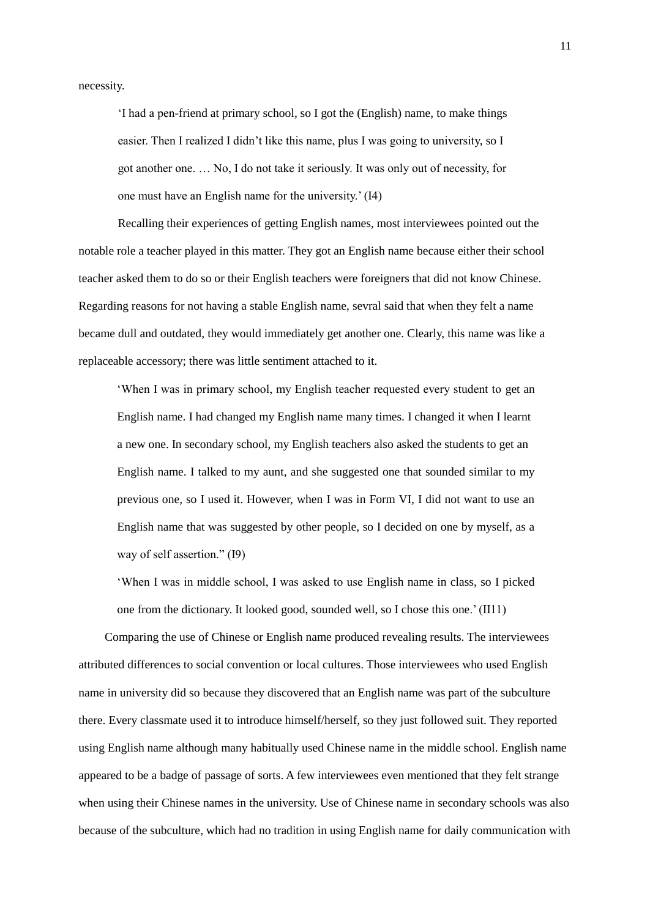necessity.

'I had a pen-friend at primary school, so I got the (English) name, to make things easier. Then I realized I didn't like this name, plus I was going to university, so I got another one. … No, I do not take it seriously. It was only out of necessity, for one must have an English name for the university.' (I4)

Recalling their experiences of getting English names, most interviewees pointed out the notable role a teacher played in this matter. They got an English name because either their school teacher asked them to do so or their English teachers were foreigners that did not know Chinese. Regarding reasons for not having a stable English name, sevral said that when they felt a name became dull and outdated, they would immediately get another one. Clearly, this name was like a replaceable accessory; there was little sentiment attached to it.

'When I was in primary school, my English teacher requested every student to get an English name. I had changed my English name many times. I changed it when I learnt a new one. In secondary school, my English teachers also asked the students to get an English name. I talked to my aunt, and she suggested one that sounded similar to my previous one, so I used it. However, when I was in Form VI, I did not want to use an English name that was suggested by other people, so I decided on one by myself, as a way of self assertion." (I9)

'When I was in middle school, I was asked to use English name in class, so I picked one from the dictionary. It looked good, sounded well, so I chose this one.' (II11)

Comparing the use of Chinese or English name produced revealing results. The interviewees attributed differences to social convention or local cultures. Those interviewees who used English name in university did so because they discovered that an English name was part of the subculture there. Every classmate used it to introduce himself/herself, so they just followed suit. They reported using English name although many habitually used Chinese name in the middle school. English name appeared to be a badge of passage of sorts. A few interviewees even mentioned that they felt strange when using their Chinese names in the university. Use of Chinese name in secondary schools was also because of the subculture, which had no tradition in using English name for daily communication with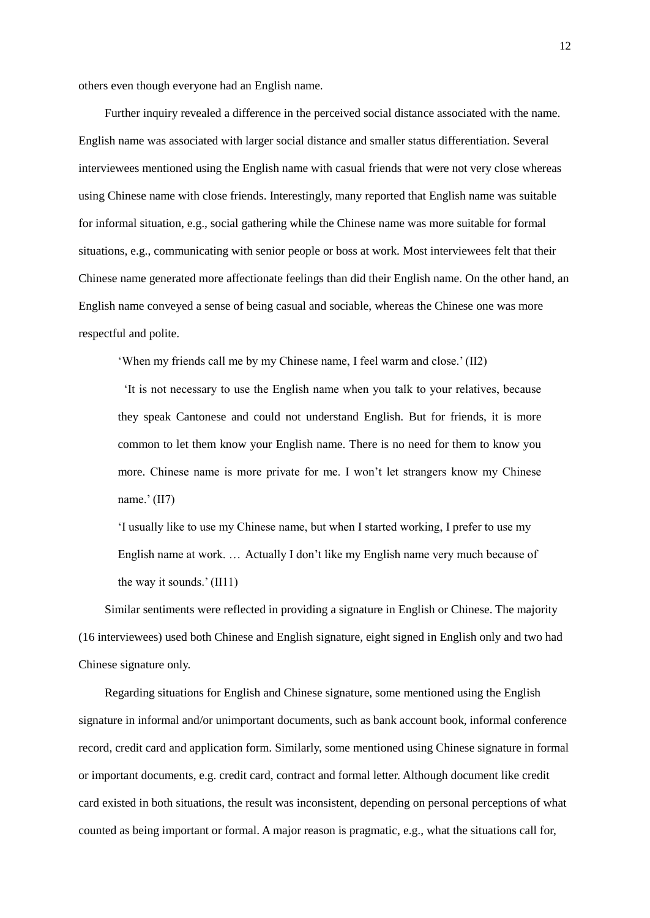others even though everyone had an English name.

Further inquiry revealed a difference in the perceived social distance associated with the name. English name was associated with larger social distance and smaller status differentiation. Several interviewees mentioned using the English name with casual friends that were not very close whereas using Chinese name with close friends. Interestingly, many reported that English name was suitable for informal situation, e.g., social gathering while the Chinese name was more suitable for formal situations, e.g., communicating with senior people or boss at work. Most interviewees felt that their Chinese name generated more affectionate feelings than did their English name. On the other hand, an English name conveyed a sense of being casual and sociable, whereas the Chinese one was more respectful and polite.

'When my friends call me by my Chinese name, I feel warm and close.' (II2)

'It is not necessary to use the English name when you talk to your relatives, because they speak Cantonese and could not understand English. But for friends, it is more common to let them know your English name. There is no need for them to know you more. Chinese name is more private for me. I won't let strangers know my Chinese name.'  $(III)$ 

'I usually like to use my Chinese name, but when I started working, I prefer to use my English name at work. … Actually I don't like my English name very much because of the way it sounds.' (II11)

Similar sentiments were reflected in providing a signature in English or Chinese. The majority (16 interviewees) used both Chinese and English signature, eight signed in English only and two had Chinese signature only.

Regarding situations for English and Chinese signature, some mentioned using the English signature in informal and/or unimportant documents, such as bank account book, informal conference record, credit card and application form. Similarly, some mentioned using Chinese signature in formal or important documents, e.g. credit card, contract and formal letter. Although document like credit card existed in both situations, the result was inconsistent, depending on personal perceptions of what counted as being important or formal. A major reason is pragmatic, e.g., what the situations call for,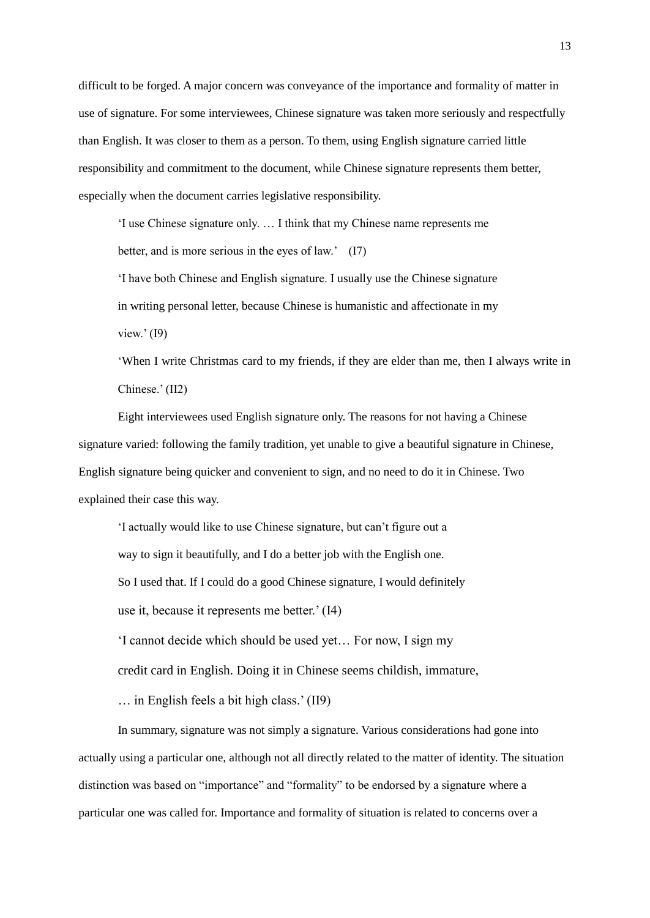difficult to be forged. A major concern was conveyance of the importance and formality of matter in use of signature. For some interviewees, Chinese signature was taken more seriously and respectfully than English. It was closer to them as a person. To them, using English signature carried little responsibility and commitment to the document, while Chinese signature represents them better, especially when the document carries legislative responsibility.

'I use Chinese signature only. … I think that my Chinese name represents me better, and is more serious in the eyes of law.' (I7)

'I have both Chinese and English signature. I usually use the Chinese signature in writing personal letter, because Chinese is humanistic and affectionate in my view.' (I9)

'When I write Christmas card to my friends, if they are elder than me, then I always write in Chinese.' (II2)

Eight interviewees used English signature only. The reasons for not having a Chinese signature varied: following the family tradition, yet unable to give a beautiful signature in Chinese, English signature being quicker and convenient to sign, and no need to do it in Chinese. Two explained their case this way.

'I actually would like to use Chinese signature, but can't figure out a way to sign it beautifully, and I do a better job with the English one. So I used that. If I could do a good Chinese signature, I would definitely use it, because it represents me better.' (I4)

'I cannot decide which should be used yet… For now, I sign my

credit card in English. Doing it in Chinese seems childish, immature,

… in English feels a bit high class.' (II9)

In summary, signature was not simply a signature. Various considerations had gone into actually using a particular one, although not all directly related to the matter of identity. The situation distinction was based on "importance" and "formality" to be endorsed by a signature where a particular one was called for. Importance and formality of situation is related to concerns over a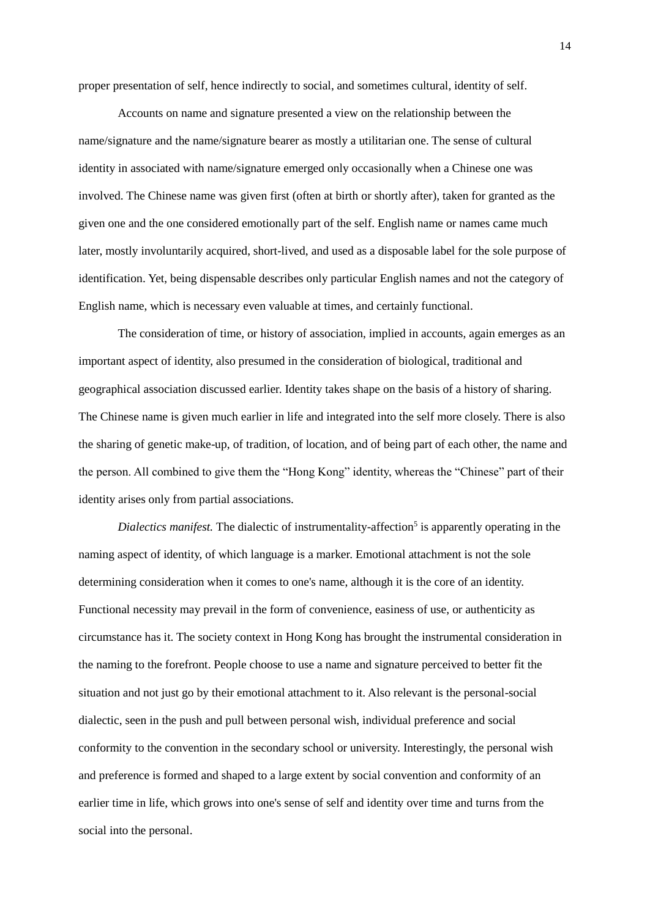proper presentation of self, hence indirectly to social, and sometimes cultural, identity of self.

Accounts on name and signature presented a view on the relationship between the name/signature and the name/signature bearer as mostly a utilitarian one. The sense of cultural identity in associated with name/signature emerged only occasionally when a Chinese one was involved. The Chinese name was given first (often at birth or shortly after), taken for granted as the given one and the one considered emotionally part of the self. English name or names came much later, mostly involuntarily acquired, short-lived, and used as a disposable label for the sole purpose of identification. Yet, being dispensable describes only particular English names and not the category of English name, which is necessary even valuable at times, and certainly functional.

The consideration of time, or history of association, implied in accounts, again emerges as an important aspect of identity, also presumed in the consideration of biological, traditional and geographical association discussed earlier. Identity takes shape on the basis of a history of sharing. The Chinese name is given much earlier in life and integrated into the self more closely. There is also the sharing of genetic make-up, of tradition, of location, and of being part of each other, the name and the person. All combined to give them the "Hong Kong" identity, whereas the "Chinese" part of their identity arises only from partial associations.

Dialectics manifest. The dialectic of instrumentality-affection<sup>5</sup> is apparently operating in the naming aspect of identity, of which language is a marker. Emotional attachment is not the sole determining consideration when it comes to one's name, although it is the core of an identity. Functional necessity may prevail in the form of convenience, easiness of use, or authenticity as circumstance has it. The society context in Hong Kong has brought the instrumental consideration in the naming to the forefront. People choose to use a name and signature perceived to better fit the situation and not just go by their emotional attachment to it. Also relevant is the personal-social dialectic, seen in the push and pull between personal wish, individual preference and social conformity to the convention in the secondary school or university. Interestingly, the personal wish and preference is formed and shaped to a large extent by social convention and conformity of an earlier time in life, which grows into one's sense of self and identity over time and turns from the social into the personal.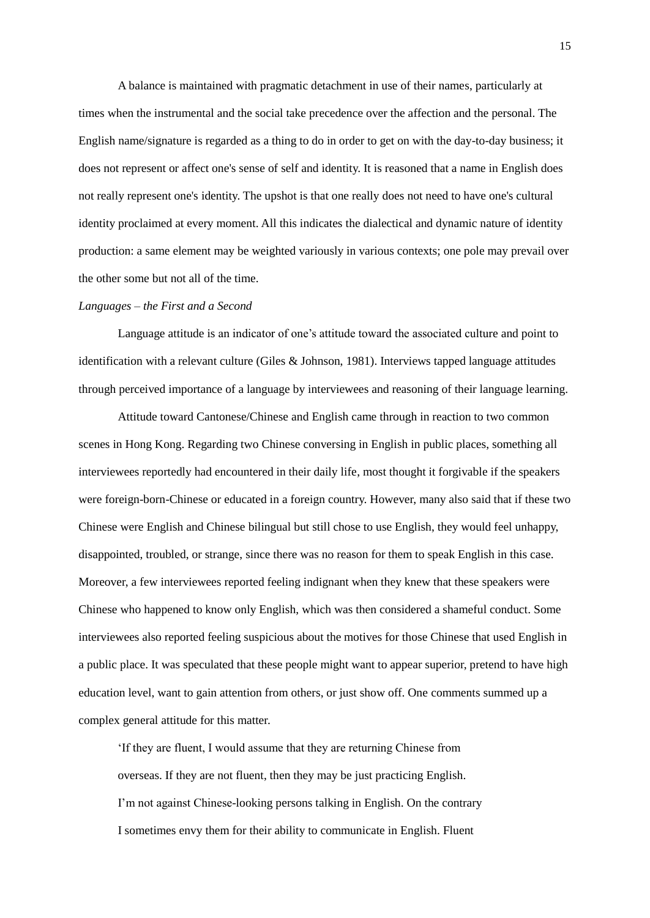A balance is maintained with pragmatic detachment in use of their names, particularly at times when the instrumental and the social take precedence over the affection and the personal. The English name/signature is regarded as a thing to do in order to get on with the day-to-day business; it does not represent or affect one's sense of self and identity. It is reasoned that a name in English does not really represent one's identity. The upshot is that one really does not need to have one's cultural identity proclaimed at every moment. All this indicates the dialectical and dynamic nature of identity production: a same element may be weighted variously in various contexts; one pole may prevail over the other some but not all of the time.

# *Languages – the First and a Second*

Language attitude is an indicator of one's attitude toward the associated culture and point to identification with a relevant culture (Giles & Johnson, 1981). Interviews tapped language attitudes through perceived importance of a language by interviewees and reasoning of their language learning.

Attitude toward Cantonese/Chinese and English came through in reaction to two common scenes in Hong Kong. Regarding two Chinese conversing in English in public places, something all interviewees reportedly had encountered in their daily life, most thought it forgivable if the speakers were foreign-born-Chinese or educated in a foreign country. However, many also said that if these two Chinese were English and Chinese bilingual but still chose to use English, they would feel unhappy, disappointed, troubled, or strange, since there was no reason for them to speak English in this case. Moreover, a few interviewees reported feeling indignant when they knew that these speakers were Chinese who happened to know only English, which was then considered a shameful conduct. Some interviewees also reported feeling suspicious about the motives for those Chinese that used English in a public place. It was speculated that these people might want to appear superior, pretend to have high education level, want to gain attention from others, or just show off. One comments summed up a complex general attitude for this matter.

'If they are fluent, I would assume that they are returning Chinese from overseas. If they are not fluent, then they may be just practicing English. I'm not against Chinese-looking persons talking in English. On the contrary I sometimes envy them for their ability to communicate in English. Fluent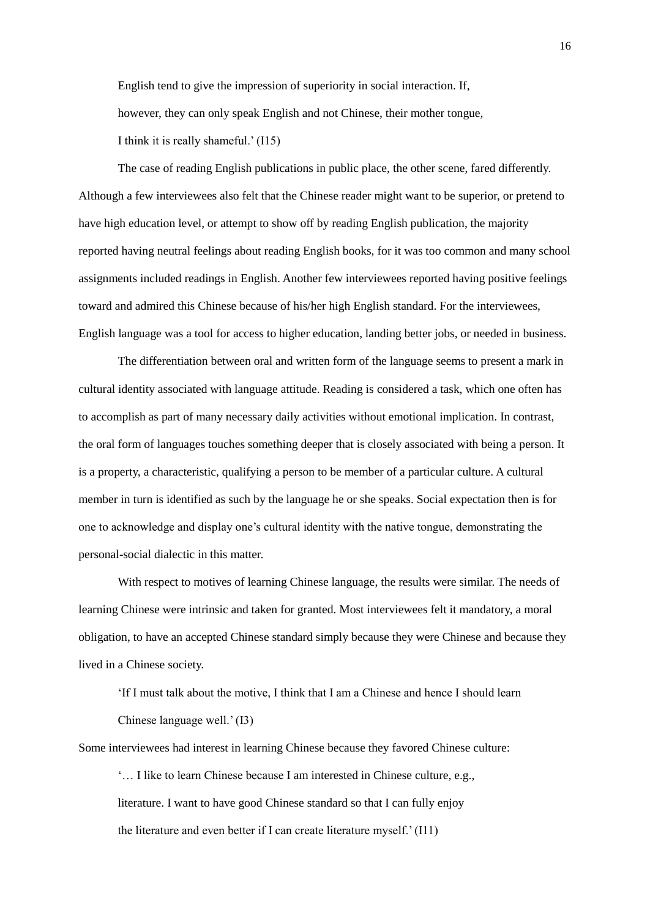English tend to give the impression of superiority in social interaction. If, however, they can only speak English and not Chinese, their mother tongue,

I think it is really shameful.' (I15)

The case of reading English publications in public place, the other scene, fared differently. Although a few interviewees also felt that the Chinese reader might want to be superior, or pretend to have high education level, or attempt to show off by reading English publication, the majority reported having neutral feelings about reading English books, for it was too common and many school assignments included readings in English. Another few interviewees reported having positive feelings toward and admired this Chinese because of his/her high English standard. For the interviewees, English language was a tool for access to higher education, landing better jobs, or needed in business.

The differentiation between oral and written form of the language seems to present a mark in cultural identity associated with language attitude. Reading is considered a task, which one often has to accomplish as part of many necessary daily activities without emotional implication. In contrast, the oral form of languages touches something deeper that is closely associated with being a person. It is a property, a characteristic, qualifying a person to be member of a particular culture. A cultural member in turn is identified as such by the language he or she speaks. Social expectation then is for one to acknowledge and display one's cultural identity with the native tongue, demonstrating the personal-social dialectic in this matter.

With respect to motives of learning Chinese language, the results were similar. The needs of learning Chinese were intrinsic and taken for granted. Most interviewees felt it mandatory, a moral obligation, to have an accepted Chinese standard simply because they were Chinese and because they lived in a Chinese society.

'If I must talk about the motive, I think that I am a Chinese and hence I should learn Chinese language well.' (I3)

Some interviewees had interest in learning Chinese because they favored Chinese culture:

'… I like to learn Chinese because I am interested in Chinese culture, e.g., literature. I want to have good Chinese standard so that I can fully enjoy the literature and even better if I can create literature myself.' (I11)

16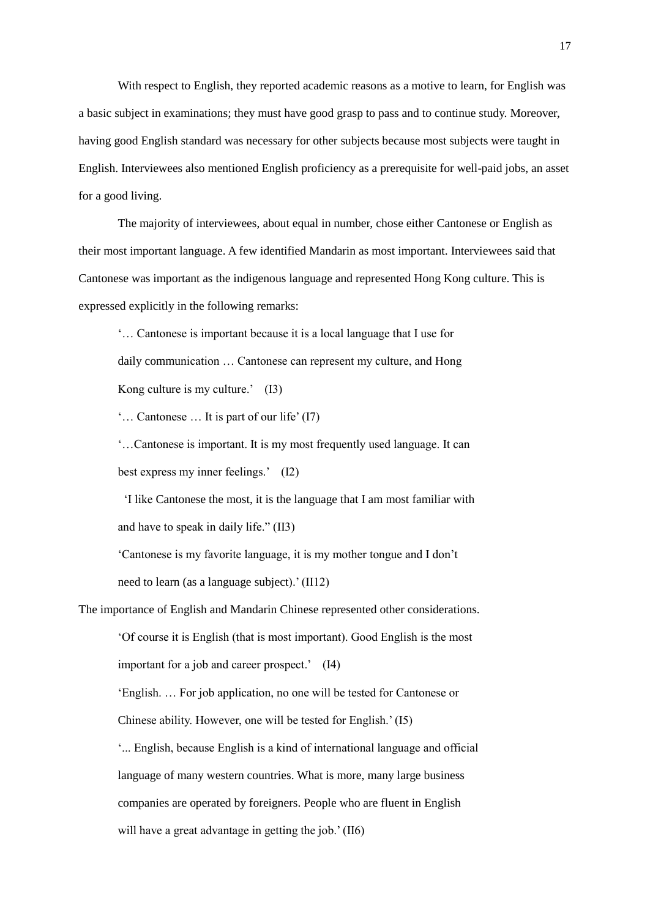With respect to English, they reported academic reasons as a motive to learn, for English was a basic subject in examinations; they must have good grasp to pass and to continue study. Moreover, having good English standard was necessary for other subjects because most subjects were taught in English. Interviewees also mentioned English proficiency as a prerequisite for well-paid jobs, an asset for a good living.

The majority of interviewees, about equal in number, chose either Cantonese or English as their most important language. A few identified Mandarin as most important. Interviewees said that Cantonese was important as the indigenous language and represented Hong Kong culture. This is expressed explicitly in the following remarks:

'… Cantonese is important because it is a local language that I use for daily communication … Cantonese can represent my culture, and Hong Kong culture is my culture.' (I3)

'… Cantonese … It is part of our life' (I7)

'…Cantonese is important. It is my most frequently used language. It can best express my inner feelings.' (I2)

'I like Cantonese the most, it is the language that I am most familiar with and have to speak in daily life." (II3)

'Cantonese is my favorite language, it is my mother tongue and I don't need to learn (as a language subject).' (II12)

The importance of English and Mandarin Chinese represented other considerations.

'Of course it is English (that is most important). Good English is the most important for a job and career prospect.' (I4)

'English. … For job application, no one will be tested for Cantonese or

Chinese ability. However, one will be tested for English.' (I5)

'... English, because English is a kind of international language and official

language of many western countries. What is more, many large business

companies are operated by foreigners. People who are fluent in English

will have a great advantage in getting the job.' (II6)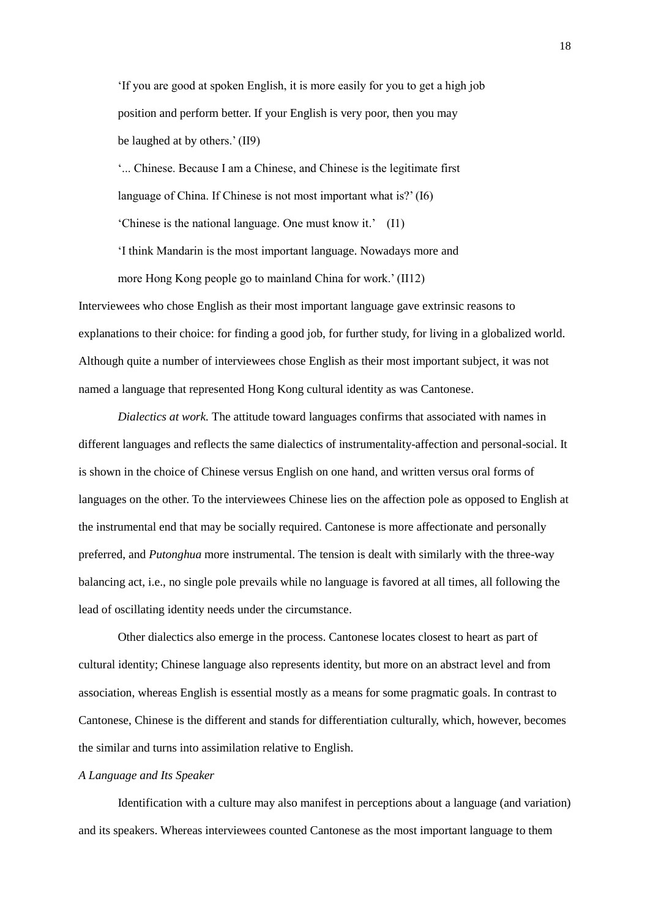'If you are good at spoken English, it is more easily for you to get a high job position and perform better. If your English is very poor, then you may be laughed at by others.' (II9)

'... Chinese. Because I am a Chinese, and Chinese is the legitimate first language of China. If Chinese is not most important what is?' (I6) 'Chinese is the national language. One must know it.' (I1)

'I think Mandarin is the most important language. Nowadays more and more Hong Kong people go to mainland China for work.' (II12)

Interviewees who chose English as their most important language gave extrinsic reasons to explanations to their choice: for finding a good job, for further study, for living in a globalized world. Although quite a number of interviewees chose English as their most important subject, it was not named a language that represented Hong Kong cultural identity as was Cantonese.

*Dialectics at work.* The attitude toward languages confirms that associated with names in different languages and reflects the same dialectics of instrumentality-affection and personal-social. It is shown in the choice of Chinese versus English on one hand, and written versus oral forms of languages on the other. To the interviewees Chinese lies on the affection pole as opposed to English at the instrumental end that may be socially required. Cantonese is more affectionate and personally preferred, and *Putonghua* more instrumental. The tension is dealt with similarly with the three-way balancing act, i.e., no single pole prevails while no language is favored at all times, all following the lead of oscillating identity needs under the circumstance.

Other dialectics also emerge in the process. Cantonese locates closest to heart as part of cultural identity; Chinese language also represents identity, but more on an abstract level and from association, whereas English is essential mostly as a means for some pragmatic goals. In contrast to Cantonese, Chinese is the different and stands for differentiation culturally, which, however, becomes the similar and turns into assimilation relative to English.

#### *A Language and Its Speaker*

Identification with a culture may also manifest in perceptions about a language (and variation) and its speakers. Whereas interviewees counted Cantonese as the most important language to them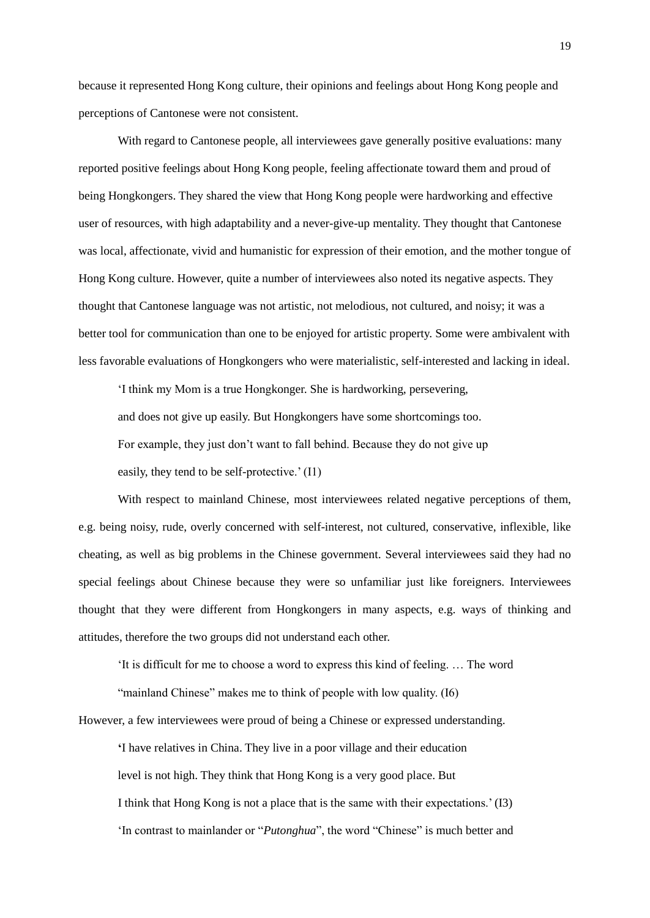because it represented Hong Kong culture, their opinions and feelings about Hong Kong people and perceptions of Cantonese were not consistent.

With regard to Cantonese people, all interviewees gave generally positive evaluations: many reported positive feelings about Hong Kong people, feeling affectionate toward them and proud of being Hongkongers. They shared the view that Hong Kong people were hardworking and effective user of resources, with high adaptability and a never-give-up mentality. They thought that Cantonese was local, affectionate, vivid and humanistic for expression of their emotion, and the mother tongue of Hong Kong culture. However, quite a number of interviewees also noted its negative aspects. They thought that Cantonese language was not artistic, not melodious, not cultured, and noisy; it was a better tool for communication than one to be enjoyed for artistic property. Some were ambivalent with less favorable evaluations of Hongkongers who were materialistic, self-interested and lacking in ideal.

'I think my Mom is a true Hongkonger. She is hardworking, persevering, and does not give up easily. But Hongkongers have some shortcomings too. For example, they just don't want to fall behind. Because they do not give up easily, they tend to be self-protective.' (I1)

With respect to mainland Chinese, most interviewees related negative perceptions of them, e.g. being noisy, rude, overly concerned with self-interest, not cultured, conservative, inflexible, like cheating, as well as big problems in the Chinese government. Several interviewees said they had no special feelings about Chinese because they were so unfamiliar just like foreigners. Interviewees thought that they were different from Hongkongers in many aspects, e.g. ways of thinking and attitudes, therefore the two groups did not understand each other.

'It is difficult for me to choose a word to express this kind of feeling. … The word

"mainland Chinese" makes me to think of people with low quality. (I6)

However, a few interviewees were proud of being a Chinese or expressed understanding.

**'**I have relatives in China. They live in a poor village and their education level is not high. They think that Hong Kong is a very good place. But I think that Hong Kong is not a place that is the same with their expectations.' (I3) 'In contrast to mainlander or "*Putonghua*", the word "Chinese" is much better and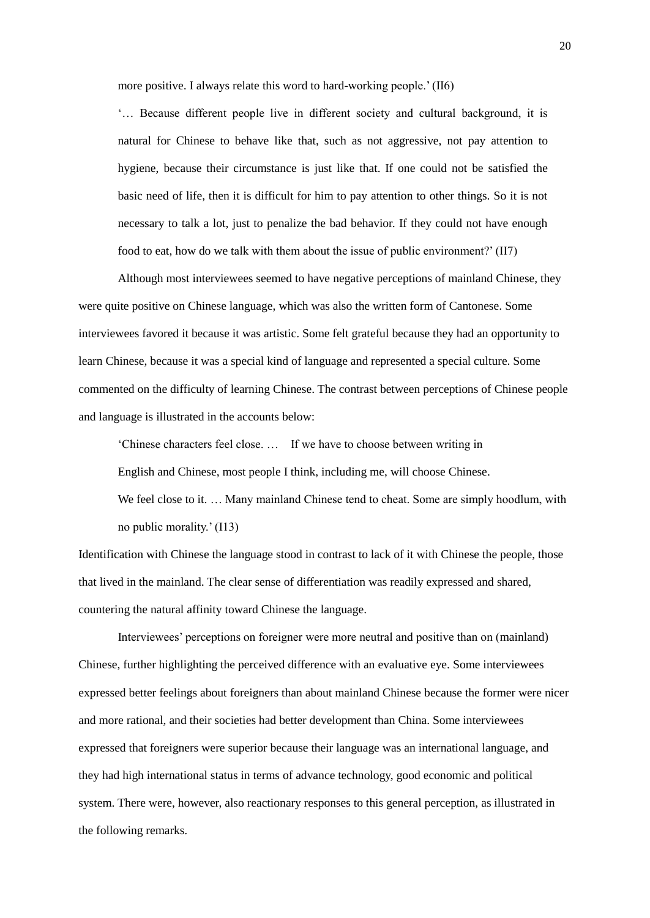more positive. I always relate this word to hard-working people.' (II6)

'… Because different people live in different society and cultural background, it is natural for Chinese to behave like that, such as not aggressive, not pay attention to hygiene, because their circumstance is just like that. If one could not be satisfied the basic need of life, then it is difficult for him to pay attention to other things. So it is not necessary to talk a lot, just to penalize the bad behavior. If they could not have enough food to eat, how do we talk with them about the issue of public environment?' (II7)

Although most interviewees seemed to have negative perceptions of mainland Chinese, they were quite positive on Chinese language, which was also the written form of Cantonese. Some interviewees favored it because it was artistic. Some felt grateful because they had an opportunity to learn Chinese, because it was a special kind of language and represented a special culture. Some commented on the difficulty of learning Chinese. The contrast between perceptions of Chinese people and language is illustrated in the accounts below:

'Chinese characters feel close. … If we have to choose between writing in

English and Chinese, most people I think, including me, will choose Chinese.

We feel close to it. ... Many mainland Chinese tend to cheat. Some are simply hoodlum, with no public morality.' (I13)

Identification with Chinese the language stood in contrast to lack of it with Chinese the people, those that lived in the mainland. The clear sense of differentiation was readily expressed and shared, countering the natural affinity toward Chinese the language.

Interviewees' perceptions on foreigner were more neutral and positive than on (mainland) Chinese, further highlighting the perceived difference with an evaluative eye. Some interviewees expressed better feelings about foreigners than about mainland Chinese because the former were nicer and more rational, and their societies had better development than China. Some interviewees expressed that foreigners were superior because their language was an international language, and they had high international status in terms of advance technology, good economic and political system. There were, however, also reactionary responses to this general perception, as illustrated in the following remarks.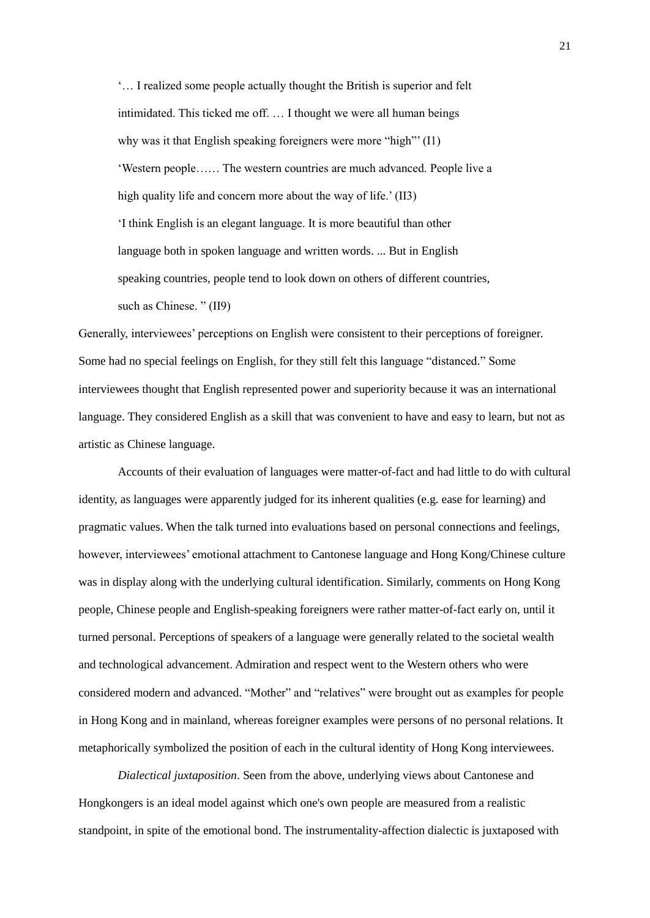'… I realized some people actually thought the British is superior and felt intimidated. This ticked me off. … I thought we were all human beings why was it that English speaking foreigners were more "high"' (I1) 'Western people…… The western countries are much advanced. People live a high quality life and concern more about the way of life.' (II3) 'I think English is an elegant language. It is more beautiful than other language both in spoken language and written words. ... But in English speaking countries, people tend to look down on others of different countries, such as Chinese. " (II9)

Generally, interviewees' perceptions on English were consistent to their perceptions of foreigner. Some had no special feelings on English, for they still felt this language "distanced." Some interviewees thought that English represented power and superiority because it was an international language. They considered English as a skill that was convenient to have and easy to learn, but not as artistic as Chinese language.

Accounts of their evaluation of languages were matter-of-fact and had little to do with cultural identity, as languages were apparently judged for its inherent qualities (e.g. ease for learning) and pragmatic values. When the talk turned into evaluations based on personal connections and feelings, however, interviewees' emotional attachment to Cantonese language and Hong Kong/Chinese culture was in display along with the underlying cultural identification. Similarly, comments on Hong Kong people, Chinese people and English-speaking foreigners were rather matter-of-fact early on, until it turned personal. Perceptions of speakers of a language were generally related to the societal wealth and technological advancement. Admiration and respect went to the Western others who were considered modern and advanced. "Mother" and "relatives" were brought out as examples for people in Hong Kong and in mainland, whereas foreigner examples were persons of no personal relations. It metaphorically symbolized the position of each in the cultural identity of Hong Kong interviewees.

*Dialectical juxtaposition*. Seen from the above, underlying views about Cantonese and Hongkongers is an ideal model against which one's own people are measured from a realistic standpoint, in spite of the emotional bond. The instrumentality-affection dialectic is juxtaposed with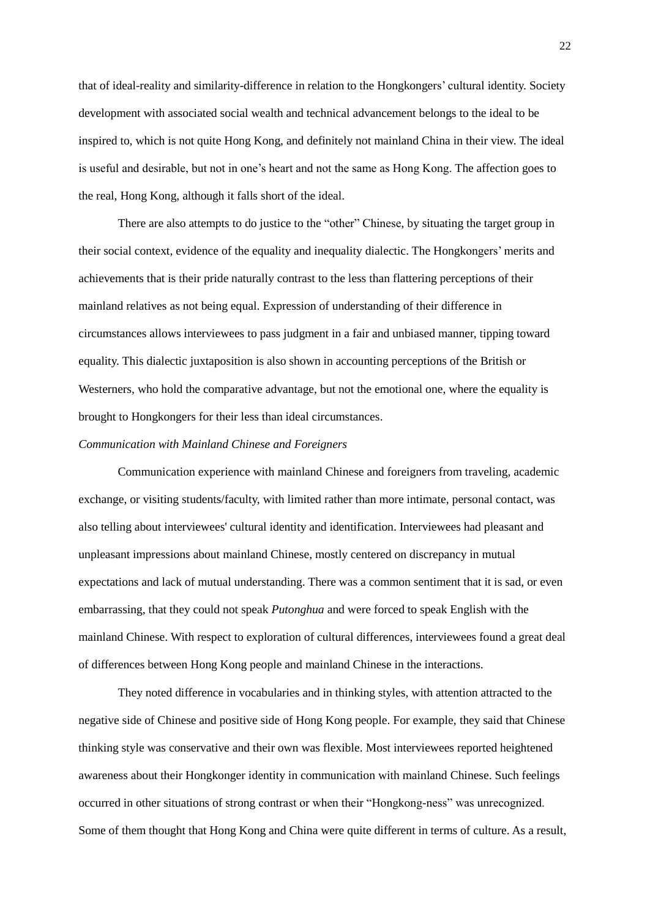that of ideal-reality and similarity-difference in relation to the Hongkongers' cultural identity. Society development with associated social wealth and technical advancement belongs to the ideal to be inspired to, which is not quite Hong Kong, and definitely not mainland China in their view. The ideal is useful and desirable, but not in one's heart and not the same as Hong Kong. The affection goes to the real, Hong Kong, although it falls short of the ideal.

There are also attempts to do justice to the "other" Chinese, by situating the target group in their social context, evidence of the equality and inequality dialectic. The Hongkongers' merits and achievements that is their pride naturally contrast to the less than flattering perceptions of their mainland relatives as not being equal. Expression of understanding of their difference in circumstances allows interviewees to pass judgment in a fair and unbiased manner, tipping toward equality. This dialectic juxtaposition is also shown in accounting perceptions of the British or Westerners, who hold the comparative advantage, but not the emotional one, where the equality is brought to Hongkongers for their less than ideal circumstances.

## *Communication with Mainland Chinese and Foreigners*

Communication experience with mainland Chinese and foreigners from traveling, academic exchange, or visiting students/faculty, with limited rather than more intimate, personal contact, was also telling about interviewees' cultural identity and identification. Interviewees had pleasant and unpleasant impressions about mainland Chinese, mostly centered on discrepancy in mutual expectations and lack of mutual understanding. There was a common sentiment that it is sad, or even embarrassing, that they could not speak *Putonghua* and were forced to speak English with the mainland Chinese. With respect to exploration of cultural differences, interviewees found a great deal of differences between Hong Kong people and mainland Chinese in the interactions.

They noted difference in vocabularies and in thinking styles, with attention attracted to the negative side of Chinese and positive side of Hong Kong people. For example, they said that Chinese thinking style was conservative and their own was flexible. Most interviewees reported heightened awareness about their Hongkonger identity in communication with mainland Chinese. Such feelings occurred in other situations of strong contrast or when their "Hongkong-ness" was unrecognized. Some of them thought that Hong Kong and China were quite different in terms of culture. As a result,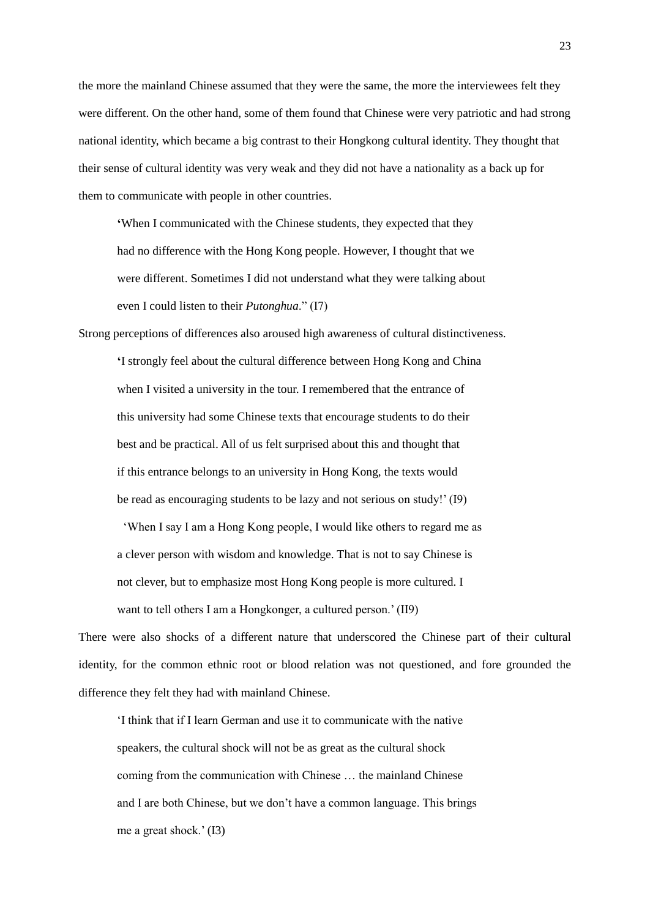the more the mainland Chinese assumed that they were the same, the more the interviewees felt they were different. On the other hand, some of them found that Chinese were very patriotic and had strong national identity, which became a big contrast to their Hongkong cultural identity. They thought that their sense of cultural identity was very weak and they did not have a nationality as a back up for them to communicate with people in other countries.

**'**When I communicated with the Chinese students, they expected that they had no difference with the Hong Kong people. However, I thought that we were different. Sometimes I did not understand what they were talking about even I could listen to their *Putonghua*." (I7)

Strong perceptions of differences also aroused high awareness of cultural distinctiveness.

**'**I strongly feel about the cultural difference between Hong Kong and China when I visited a university in the tour. I remembered that the entrance of this university had some Chinese texts that encourage students to do their best and be practical. All of us felt surprised about this and thought that if this entrance belongs to an university in Hong Kong, the texts would be read as encouraging students to be lazy and not serious on study!' (I9)

'When I say I am a Hong Kong people, I would like others to regard me as a clever person with wisdom and knowledge. That is not to say Chinese is not clever, but to emphasize most Hong Kong people is more cultured. I want to tell others I am a Hongkonger, a cultured person.' (II9)

There were also shocks of a different nature that underscored the Chinese part of their cultural identity, for the common ethnic root or blood relation was not questioned, and fore grounded the difference they felt they had with mainland Chinese.

'I think that if I learn German and use it to communicate with the native speakers, the cultural shock will not be as great as the cultural shock coming from the communication with Chinese … the mainland Chinese and I are both Chinese, but we don't have a common language. This brings me a great shock.' (I3)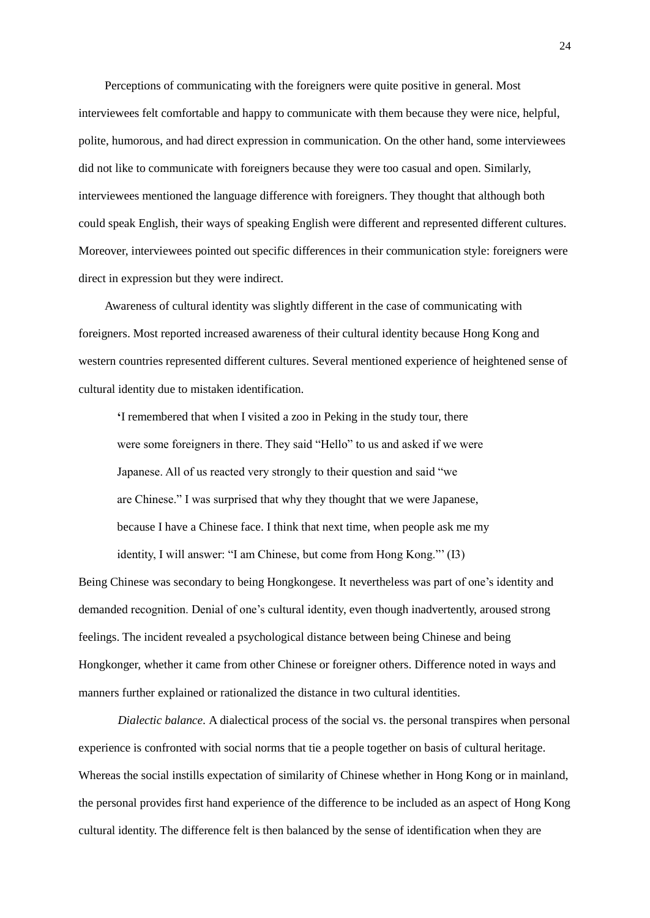Perceptions of communicating with the foreigners were quite positive in general. Most interviewees felt comfortable and happy to communicate with them because they were nice, helpful, polite, humorous, and had direct expression in communication. On the other hand, some interviewees did not like to communicate with foreigners because they were too casual and open. Similarly, interviewees mentioned the language difference with foreigners. They thought that although both could speak English, their ways of speaking English were different and represented different cultures. Moreover, interviewees pointed out specific differences in their communication style: foreigners were direct in expression but they were indirect.

Awareness of cultural identity was slightly different in the case of communicating with foreigners. Most reported increased awareness of their cultural identity because Hong Kong and western countries represented different cultures. Several mentioned experience of heightened sense of cultural identity due to mistaken identification.

**'**I remembered that when I visited a zoo in Peking in the study tour, there were some foreigners in there. They said "Hello" to us and asked if we were Japanese. All of us reacted very strongly to their question and said "we are Chinese." I was surprised that why they thought that we were Japanese, because I have a Chinese face. I think that next time, when people ask me my identity, I will answer: "I am Chinese, but come from Hong Kong."' (I3)

Being Chinese was secondary to being Hongkongese. It nevertheless was part of one's identity and demanded recognition. Denial of one's cultural identity, even though inadvertently, aroused strong feelings. The incident revealed a psychological distance between being Chinese and being Hongkonger, whether it came from other Chinese or foreigner others. Difference noted in ways and manners further explained or rationalized the distance in two cultural identities.

*Dialectic balance.* A dialectical process of the social vs. the personal transpires when personal experience is confronted with social norms that tie a people together on basis of cultural heritage. Whereas the social instills expectation of similarity of Chinese whether in Hong Kong or in mainland, the personal provides first hand experience of the difference to be included as an aspect of Hong Kong cultural identity. The difference felt is then balanced by the sense of identification when they are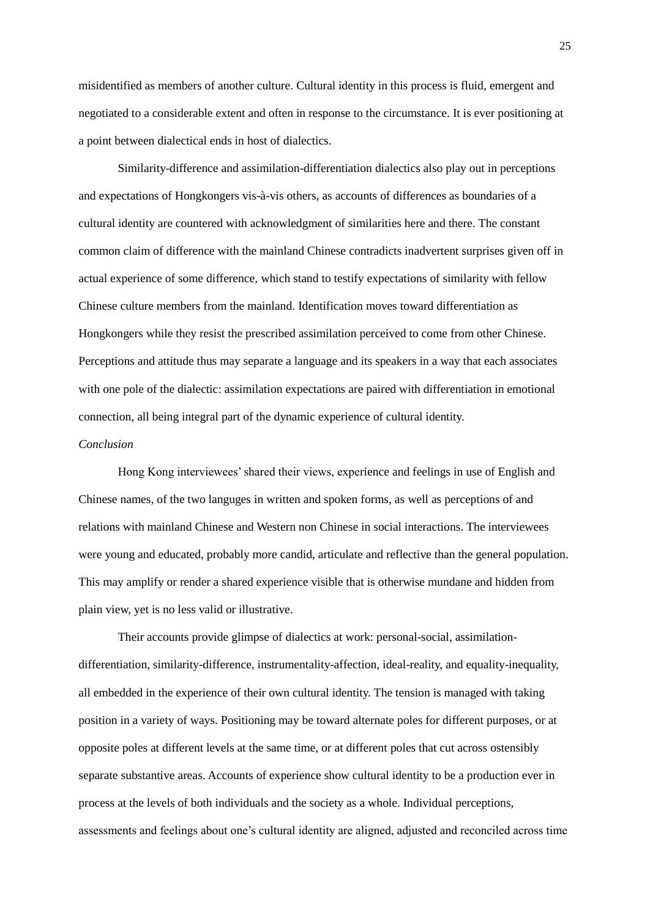misidentified as members of another culture. Cultural identity in this process is fluid, emergent and negotiated to a considerable extent and often in response to the circumstance. It is ever positioning at a point between dialectical ends in host of dialectics.

Similarity-difference and assimilation-differentiation dialectics also play out in perceptions and expectations of Hongkongers vis-à-vis others, as accounts of differences as boundaries of a cultural identity are countered with acknowledgment of similarities here and there. The constant common claim of difference with the mainland Chinese contradicts inadvertent surprises given off in actual experience of some difference, which stand to testify expectations of similarity with fellow Chinese culture members from the mainland. Identification moves toward differentiation as Hongkongers while they resist the prescribed assimilation perceived to come from other Chinese. Perceptions and attitude thus may separate a language and its speakers in a way that each associates with one pole of the dialectic: assimilation expectations are paired with differentiation in emotional connection, all being integral part of the dynamic experience of cultural identity.

# *Conclusion*

Hong Kong interviewees' shared their views, experience and feelings in use of English and Chinese names, of the two languges in written and spoken forms, as well as perceptions of and relations with mainland Chinese and Western non Chinese in social interactions. The interviewees were young and educated, probably more candid, articulate and reflective than the general population. This may amplify or render a shared experience visible that is otherwise mundane and hidden from plain view, yet is no less valid or illustrative.

Their accounts provide glimpse of dialectics at work: personal-social, assimilationdifferentiation, similarity-difference, instrumentality-affection, ideal-reality, and equality-inequality, all embedded in the experience of their own cultural identity. The tension is managed with taking position in a variety of ways. Positioning may be toward alternate poles for different purposes, or at opposite poles at different levels at the same time, or at different poles that cut across ostensibly separate substantive areas. Accounts of experience show cultural identity to be a production ever in process at the levels of both individuals and the society as a whole. Individual perceptions, assessments and feelings about one's cultural identity are aligned, adjusted and reconciled across time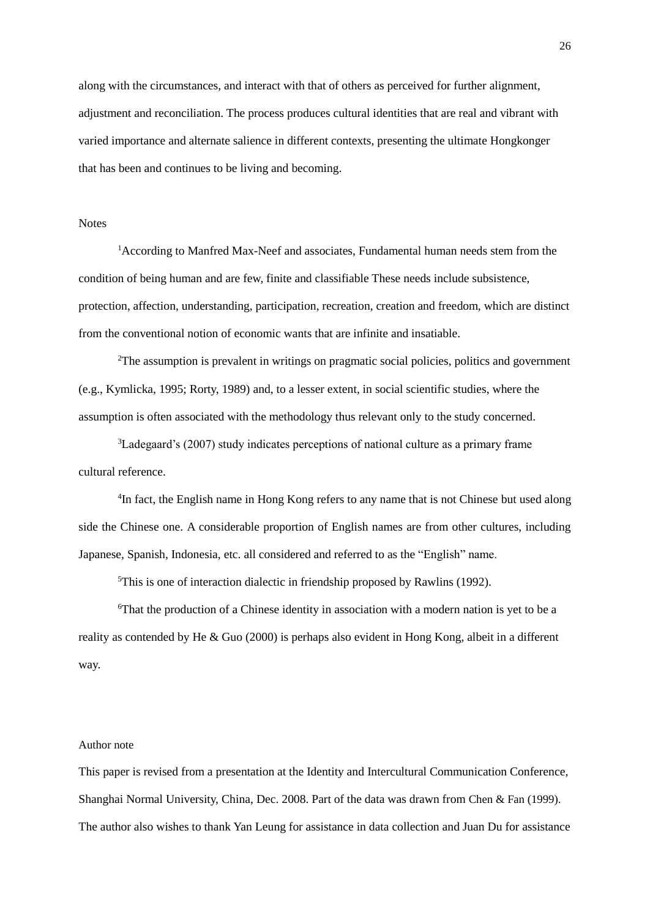along with the circumstances, and interact with that of others as perceived for further alignment, adjustment and reconciliation. The process produces cultural identities that are real and vibrant with varied importance and alternate salience in different contexts, presenting the ultimate Hongkonger that has been and continues to be living and becoming.

# **Notes**

<sup>1</sup>According to Manfred Max-Neef and associates, Fundamental human needs stem from the condition of being human and are few, finite and classifiable These needs include subsistence, protection, affection, understanding, participation, recreation, creation and freedom, which are distinct from the conventional notion of economic wants that are infinite and insatiable.

<sup>2</sup>The assumption is prevalent in writings on pragmatic social policies, politics and government (e.g., Kymlicka, 1995; Rorty, 1989) and, to a lesser extent, in social scientific studies, where the assumption is often associated with the methodology thus relevant only to the study concerned.

<sup>3</sup>Ladegaard's (2007) study indicates perceptions of national culture as a primary frame cultural reference.

<sup>4</sup>In fact, the English name in Hong Kong refers to any name that is not Chinese but used along side the Chinese one. A considerable proportion of English names are from other cultures, including Japanese, Spanish, Indonesia, etc. all considered and referred to as the "English" name.

<sup>5</sup>This is one of interaction dialectic in friendship proposed by Rawlins (1992).

<sup>6</sup>That the production of a Chinese identity in association with a modern nation is yet to be a reality as contended by He & Guo (2000) is perhaps also evident in Hong Kong, albeit in a different way.

# Author note

This paper is revised from a presentation at the Identity and Intercultural Communication Conference, Shanghai Normal University, China, Dec. 2008. Part of the data was drawn from Chen & Fan (1999). The author also wishes to thank Yan Leung for assistance in data collection and Juan Du for assistance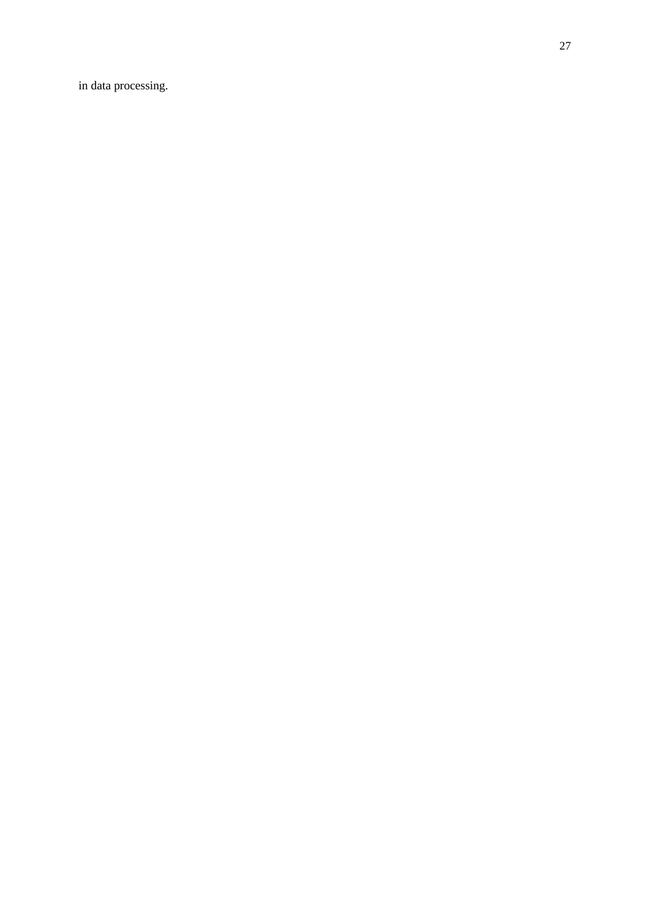in data processing.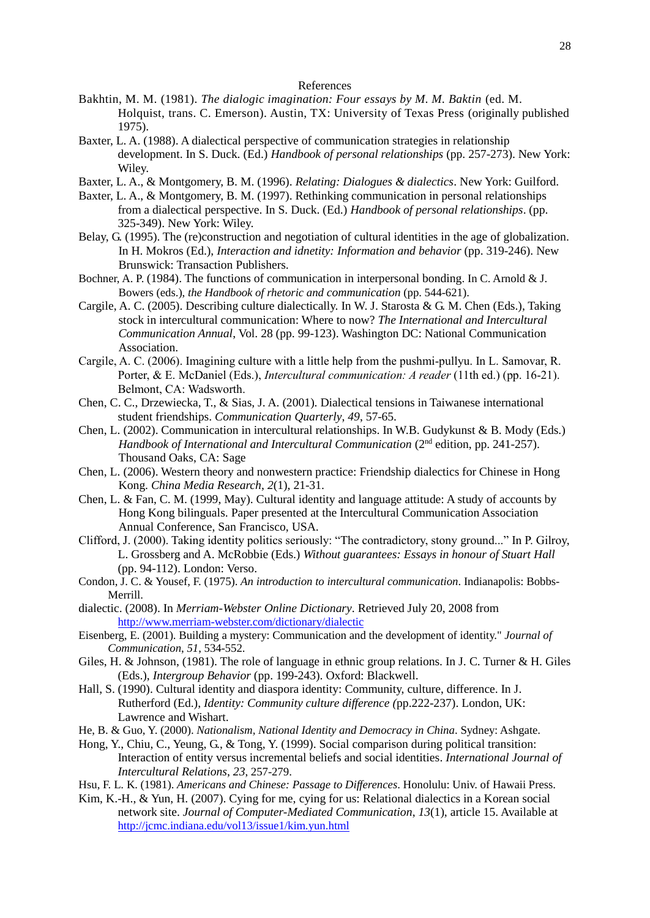#### References

- Bakhtin, M. M. (1981). *The dialogic imagination: Four essays by M. M. Baktin* (ed. M. Holquist, trans. C. Emerson). Austin, TX: University of Texas Press (originally published 1975).
- Baxter, L. A. (1988). A dialectical perspective of communication strategies in relationship development. In S. Duck. (Ed.) *Handbook of personal relationships* (pp. 257-273). New York: Wiley.
- Baxter, L. A., & Montgomery, B. M. (1996). *Relating: Dialogues & dialectics*. New York: Guilford.
- Baxter, L. A., & Montgomery, B. M. (1997). Rethinking communication in personal relationships from a dialectical perspective. In S. Duck. (Ed.) *Handbook of personal relationships*. (pp. 325-349). New York: Wiley.
- Belay, G. (1995). The (re)construction and negotiation of cultural identities in the age of globalization. In H. Mokros (Ed.), *Interaction and idnetity: Information and behavior* (pp. 319-246). New Brunswick: Transaction Publishers.
- Bochner, A. P. (1984). The functions of communication in interpersonal bonding. In C. Arnold & J. Bowers (eds.), *the Handbook of rhetoric and communication* (pp. 544-621).
- Cargile, A. C. (2005). Describing culture dialectically. In W. J. Starosta & G. M. Chen (Eds.), Taking stock in intercultural communication: Where to now? *The International and Intercultural Communication Annual*, Vol. 28 (pp. 99-123). Washington DC: National Communication Association.
- Cargile, A. C. (2006). Imagining culture with a little help from the pushmi-pullyu. In L. Samovar, R. Porter, & E. McDaniel (Eds.), *Intercultural communication: A reader* (11th ed.) (pp. 16-21). Belmont, CA: Wadsworth.
- Chen, C. C., Drzewiecka, T., & Sias, J. A. (2001). Dialectical tensions in Taiwanese international student friendships. *Communication Quarterly*, *49*, 57-65.
- Chen, L. (2002). Communication in intercultural relationships. In W.B. Gudykunst & B. Mody (Eds.) *Handbook of International and Intercultural Communication (2<sup>nd</sup> edition, pp. 241-257).* Thousand Oaks, CA: Sage
- Chen, L. (2006). Western theory and nonwestern practice: Friendship dialectics for Chinese in Hong Kong. *China Media Research*, *2*(1), 21-31.
- Chen, L. & Fan, C. M. (1999, May). Cultural identity and language attitude: A study of accounts by Hong Kong bilinguals. Paper presented at the Intercultural Communication Association Annual Conference, San Francisco, USA.
- Clifford, J. (2000). Taking identity politics seriously: "The contradictory, stony ground..." In P. Gilroy, L. Grossberg and A. McRobbie (Eds.) *Without guarantees: Essays in honour of Stuart Hall* (pp. 94-112). London: Verso.
- Condon, J. C. & Yousef, F. (1975). *An introduction to intercultural communication*. Indianapolis: Bobbs-Merrill.
- dialectic. (2008). In *Merriam-Webster Online Dictionary*. Retrieved July 20, 2008 from <http://www.merriam-webster.com/dictionary/dialectic>
- Eisenberg, E. (2001). Building a mystery: Communication and the development of identity." *Journal of Communication*, *51*, 534-552.
- Giles, H. & Johnson, (1981). The role of language in ethnic group relations. In J. C. Turner & H. Giles (Eds.), *Intergroup Behavior* (pp. 199-243). Oxford: Blackwell.
- Hall, S. (1990). Cultural identity and diaspora identity: Community, culture, difference. In J. Rutherford (Ed.), *Identity: Community culture difference (*pp.222-237). London, UK: Lawrence and Wishart.
- He, B. & Guo, Y. (2000). *Nationalism, National Identity and Democracy in China*. Sydney: Ashgate.
- Hong, Y., Chiu, C., Yeung, G., & Tong, Y. (1999). Social comparison during political transition: Interaction of entity versus incremental beliefs and social identities. *International Journal of Intercultural Relations*, *23*, 257-279.
- Hsu, F. L. K. (1981). *Americans and Chinese: Passage to Differences*. Honolulu: Univ. of Hawaii Press.
- Kim, K.-H., & Yun, H. (2007). Cying for me, cying for us: Relational dialectics in a Korean social network site. *Journal of Computer-Mediated Communication*, *13*(1), article 15. Available at <http://jcmc.indiana.edu/vol13/issue1/kim.yun.html>